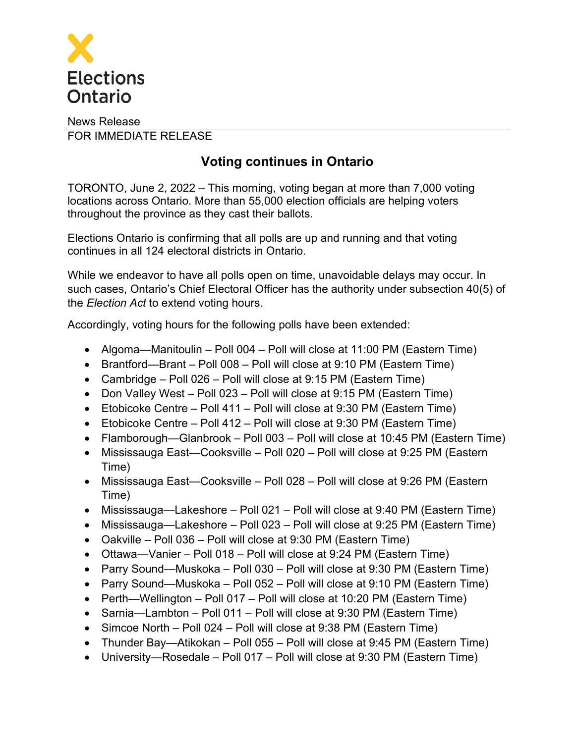

## News Release FOR IMMEDIATE RELEASE

## **Voting continues in Ontario**

TORONTO, June 2, 2022 – This morning, voting began at more than 7,000 voting locations across Ontario. More than 55,000 election officials are helping voters throughout the province as they cast their ballots.

Elections Ontario is confirming that all polls are up and running and that voting continues in all 124 electoral districts in Ontario.

While we endeavor to have all polls open on time, unavoidable delays may occur. In such cases, Ontario's Chief Electoral Officer has the authority under subsection 40(5) of the *Election Act* to extend voting hours.

Accordingly, voting hours for the following polls have been extended:

- Algoma—Manitoulin Poll 004 Poll will close at 11:00 PM (Eastern Time)
- Brantford—Brant Poll 008 Poll will close at 9:10 PM (Eastern Time)
- Cambridge Poll 026 Poll will close at 9:15 PM (Eastern Time)
- Don Valley West Poll 023 Poll will close at 9:15 PM (Eastern Time)
- Etobicoke Centre Poll 411 Poll will close at 9:30 PM (Eastern Time)
- Etobicoke Centre Poll 412 Poll will close at 9:30 PM (Eastern Time)
- Flamborough—Glanbrook Poll 003 Poll will close at 10:45 PM (Eastern Time)
- Mississauga East—Cooksville Poll 020 Poll will close at 9:25 PM (Eastern Time)
- Mississauga East—Cooksville Poll 028 Poll will close at 9:26 PM (Eastern Time)
- Mississauga—Lakeshore Poll 021 Poll will close at 9:40 PM (Eastern Time)
- Mississauga—Lakeshore Poll 023 Poll will close at 9:25 PM (Eastern Time)
- Oakville Poll 036 Poll will close at 9:30 PM (Eastern Time)
- Ottawa—Vanier Poll 018 Poll will close at 9:24 PM (Eastern Time)
- Parry Sound—Muskoka Poll 030 Poll will close at 9:30 PM (Eastern Time)
- Parry Sound—Muskoka Poll 052 Poll will close at 9:10 PM (Eastern Time)
- Perth—Wellington Poll 017 Poll will close at 10:20 PM (Eastern Time)
- Sarnia—Lambton Poll 011 Poll will close at 9:30 PM (Eastern Time)
- Simcoe North Poll 024 Poll will close at 9:38 PM (Eastern Time)
- Thunder Bay—Atikokan Poll 055 Poll will close at 9:45 PM (Eastern Time)
- University—Rosedale Poll 017 Poll will close at 9:30 PM (Eastern Time)